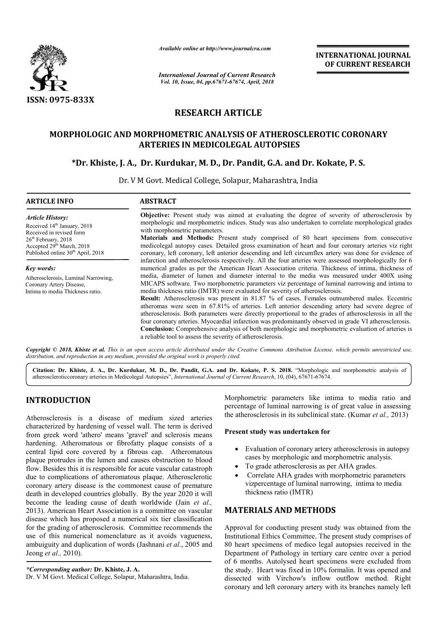

*Available online at http://www.journalcra.com*

# **RESEARCH ARTICLE**

# **MORPHOLOGIC AND MORPHOMETRIC ANALYSIS OF C ATHEROSCLEROTIC ATHEROSCLEROTIC CORONARY ARTERIES IN MEDICOLEGAL AUTOPSIES**

# **\*Dr. Khiste, J. A., Dr. Kurdukar Kurdukar, M. D., Dr. Pandit, G.A. and Dr. Kokate Dr. Kokate, P. S.**

|                                                                                                                                                                                                                                                                                                                                                                                                                                                                  | unuvic viime ui nup.//www.jvurnuicru.com                                                                                                                                                                                                                                                                                                                                                                                                                                                                                                     | <b>INTERNATIONAL JOURNAL</b><br>OF CURRENT RESEARCH                                                                                                                                                                                                                                                                                                                                                                                                                                                                                                                                                                                                                                                                                                                                                                                                                                                                                                                                                                      |  |  |  |
|------------------------------------------------------------------------------------------------------------------------------------------------------------------------------------------------------------------------------------------------------------------------------------------------------------------------------------------------------------------------------------------------------------------------------------------------------------------|----------------------------------------------------------------------------------------------------------------------------------------------------------------------------------------------------------------------------------------------------------------------------------------------------------------------------------------------------------------------------------------------------------------------------------------------------------------------------------------------------------------------------------------------|--------------------------------------------------------------------------------------------------------------------------------------------------------------------------------------------------------------------------------------------------------------------------------------------------------------------------------------------------------------------------------------------------------------------------------------------------------------------------------------------------------------------------------------------------------------------------------------------------------------------------------------------------------------------------------------------------------------------------------------------------------------------------------------------------------------------------------------------------------------------------------------------------------------------------------------------------------------------------------------------------------------------------|--|--|--|
|                                                                                                                                                                                                                                                                                                                                                                                                                                                                  | <b>International Journal of Current Research</b><br>Vol. 10, Issue, 04, pp.67671-67674, April, 2018                                                                                                                                                                                                                                                                                                                                                                                                                                          |                                                                                                                                                                                                                                                                                                                                                                                                                                                                                                                                                                                                                                                                                                                                                                                                                                                                                                                                                                                                                          |  |  |  |
| ISSN: 0975-833X                                                                                                                                                                                                                                                                                                                                                                                                                                                  |                                                                                                                                                                                                                                                                                                                                                                                                                                                                                                                                              |                                                                                                                                                                                                                                                                                                                                                                                                                                                                                                                                                                                                                                                                                                                                                                                                                                                                                                                                                                                                                          |  |  |  |
|                                                                                                                                                                                                                                                                                                                                                                                                                                                                  |                                                                                                                                                                                                                                                                                                                                                                                                                                                                                                                                              | <b>RESEARCH ARTICLE</b>                                                                                                                                                                                                                                                                                                                                                                                                                                                                                                                                                                                                                                                                                                                                                                                                                                                                                                                                                                                                  |  |  |  |
|                                                                                                                                                                                                                                                                                                                                                                                                                                                                  |                                                                                                                                                                                                                                                                                                                                                                                                                                                                                                                                              | <b>MORPHOLOGIC AND MORPHOMETRIC ANALYSIS OF ATHEROSCLEROTIC CORONARY</b><br><b>ARTERIES IN MEDICOLEGAL AUTOPSIES</b>                                                                                                                                                                                                                                                                                                                                                                                                                                                                                                                                                                                                                                                                                                                                                                                                                                                                                                     |  |  |  |
|                                                                                                                                                                                                                                                                                                                                                                                                                                                                  |                                                                                                                                                                                                                                                                                                                                                                                                                                                                                                                                              | *Dr. Khiste, J. A., Dr. Kurdukar, M. D., Dr. Pandit, G.A. and Dr. Kokate, P. S.<br>Dr. V M Govt. Medical College, Solapur, Maharashtra, India                                                                                                                                                                                                                                                                                                                                                                                                                                                                                                                                                                                                                                                                                                                                                                                                                                                                            |  |  |  |
| <b>ARTICLE INFO</b>                                                                                                                                                                                                                                                                                                                                                                                                                                              | <b>ABSTRACT</b>                                                                                                                                                                                                                                                                                                                                                                                                                                                                                                                              |                                                                                                                                                                                                                                                                                                                                                                                                                                                                                                                                                                                                                                                                                                                                                                                                                                                                                                                                                                                                                          |  |  |  |
| <b>Article History:</b><br>Received 14 <sup>th</sup> January, 2018<br>Received in revised form<br>26 <sup>th</sup> February, 2018<br>Accepted 29 <sup>th</sup> March, 2018<br>Published online 30 <sup>th</sup> April, 2018                                                                                                                                                                                                                                      | Objective: Present study was aimed at evaluating the degree of severity of atherosclerosis by<br>morphologic and morphometric indices. Study was also undertaken to correlate morphological grades<br>with morphometric parameters.<br>Materials and Methods: Present study comprised of 80 heart specimens from consecutive<br>medicolegal autopsy cases. Detailed gross examination of heart and four coronary arteries viz right<br>coronary, left coronary, left anterior descending and left circumflex artery was done for evidence of |                                                                                                                                                                                                                                                                                                                                                                                                                                                                                                                                                                                                                                                                                                                                                                                                                                                                                                                                                                                                                          |  |  |  |
| Key words:<br>Atherosclerosis, Luminal Narrowing,<br>Coronary Artery Disease,<br>Intima to media Thickness ratio.                                                                                                                                                                                                                                                                                                                                                | a reliable tool to assess the severity of atherosclerosis.                                                                                                                                                                                                                                                                                                                                                                                                                                                                                   | infarction and atherosclerosis respectively. All the four arteries were assessed morphologically for 6<br>numerical grades as per the American Heart Association criteria. Thickness of intima, thickness of<br>media, diameter of lumen and diameter internal to the media was measured under 400X using<br>MICAPS software. Two morphometric parameters viz percentage of luminal narrowing and intima to<br>media thickness ratio (IMTR) were evaluated for severity of atherosclerosis.<br>Result: Atherosclerosis was present in 81.87 % of cases. Females outnumbered males. Eccentric<br>atheromas were seen in 67.81% of arteries. Left anterior descending artery had severe degree of<br>atherosclerosis. Both parameters were directly proportional to the grades of atherosclerosis in all the<br>four coronary arteries. Myocardial infarction was predominantly observed in grade VI atherosclerosis.<br>Conclusion: Comprehensive analysis of both morphologic and morphometric evaluation of arteries is |  |  |  |
| distribution, and reproduction in any medium, provided the original work is properly cited.                                                                                                                                                                                                                                                                                                                                                                      |                                                                                                                                                                                                                                                                                                                                                                                                                                                                                                                                              | Copyright © 2018, Khiste et al. This is an open access article distributed under the Creative Commons Attribution License, which permits unrestricted use,                                                                                                                                                                                                                                                                                                                                                                                                                                                                                                                                                                                                                                                                                                                                                                                                                                                               |  |  |  |
|                                                                                                                                                                                                                                                                                                                                                                                                                                                                  |                                                                                                                                                                                                                                                                                                                                                                                                                                                                                                                                              | Citation: Dr. Khiste, J. A., Dr. Kurdukar, M. D., Dr. Pandit, G.A. and Dr. Kokate, P. S. 2018. "Morphologic and morphometric analysis of<br>atheroscleroticcoronary arteries in Medicolegal Autopsies", International Journal of Current Research, 10, (04), 67671-67674.                                                                                                                                                                                                                                                                                                                                                                                                                                                                                                                                                                                                                                                                                                                                                |  |  |  |
| <b>INTRODUCTION</b><br>Atherosclerosis is a disease of medium sized arteries<br>characterized by hardening of vessel wall. The term is derived<br>from greek word 'athero' means 'gravel' and sclerosis means                                                                                                                                                                                                                                                    |                                                                                                                                                                                                                                                                                                                                                                                                                                                                                                                                              | Morphometric parameters like intima to media ratio and<br>percentage of luminal narrowing is of great value in assessing<br>the atherosclerosis in its subclinical state. (Kumar et al., 2013)<br>Present study was undertaken for                                                                                                                                                                                                                                                                                                                                                                                                                                                                                                                                                                                                                                                                                                                                                                                       |  |  |  |
| hardening. Atheromatous or fibrofatty plaque consists of a<br>central lipid core covered by a fibrous cap. Atheromatous<br>plaque protrudes in the lumen and causes obstruction to blood<br>flow. Besides this it is responsible for acute vascular catastroph<br>due to complications of atheromatous plaque. Atherosclerotic<br>coronary artery disease is the commonest cause of premature<br>death in developed countries globally. By the year 2020 it will |                                                                                                                                                                                                                                                                                                                                                                                                                                                                                                                                              | Evaluation of coronary artery atherosclerosis in autopsy<br>cases by morphologic and morphometric analysis.<br>To grade atherosclerosis as per AHA grades.<br>$\bullet$<br>Correlate AHA grades with morphometric parameters<br>$\bullet$<br>vizpercentage of luminal narrowing, intima to media<br>thickness ratio (IMTR)                                                                                                                                                                                                                                                                                                                                                                                                                                                                                                                                                                                                                                                                                               |  |  |  |
| become the leading cause of death worldwide (Jain et al.,<br>2013). American Heart Association is a committee on vascular                                                                                                                                                                                                                                                                                                                                        |                                                                                                                                                                                                                                                                                                                                                                                                                                                                                                                                              | <b>MATERIALS AND METHODS</b>                                                                                                                                                                                                                                                                                                                                                                                                                                                                                                                                                                                                                                                                                                                                                                                                                                                                                                                                                                                             |  |  |  |
| disease which has proposed a numerical six tier classification<br>for the grading of atherosclerosis. Committee recommends the<br>use of this numerical nomenclature as it avoids vagueness,<br>ambuiguity and duplication of words (Jashnani et al., 2005 and<br>Jeong et al., 2010).                                                                                                                                                                           |                                                                                                                                                                                                                                                                                                                                                                                                                                                                                                                                              | Approval for conducting present study was obtained from the<br>Institutional Ethics Committee. The present study comprises of<br>80 heart specimens of medico legal autopsies received in the<br>Department of Pathology in tertiary care centre over a period                                                                                                                                                                                                                                                                                                                                                                                                                                                                                                                                                                                                                                                                                                                                                           |  |  |  |
| *Corresponding author: Dr. Khiste, J. A.<br>Dr. V M Govt. Medical College, Solapur, Maharashtra, India.                                                                                                                                                                                                                                                                                                                                                          |                                                                                                                                                                                                                                                                                                                                                                                                                                                                                                                                              | of 6 months. Autolysed heart specimens were excluded from<br>the study. Heart was fixed in 10% formalin. It was opened and<br>dissected with Virchow's inflow outflow method. Right<br>coronary and left coronary artery with its branches namely left                                                                                                                                                                                                                                                                                                                                                                                                                                                                                                                                                                                                                                                                                                                                                                   |  |  |  |

# **INTRODUCTION**

## Present study was undertaken for

- Evaluation of coronary artery atherosclerosis in autopsy cases by morphologic and morphometric analysis.
- cases by morphologic and morphometric ana<br>• To grade atherosclerosis as per AHA grades.
- Correlate AHA grades with morphometric parameters vizpercentage of luminal narrowing, intima to media thickness ratio (IMTR)

## **MATERIALS AND METHODS METHODS**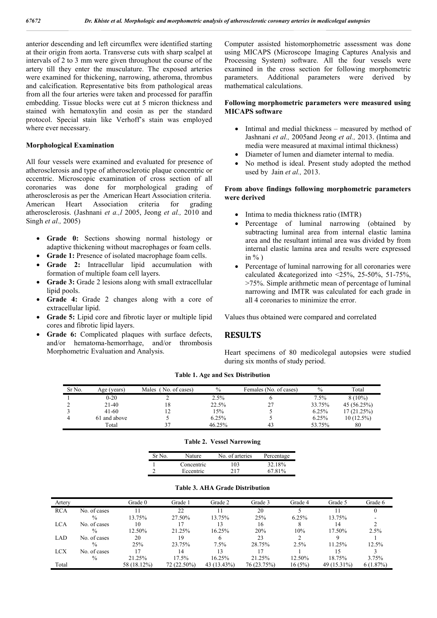anterior descending and left circumflex were identified starting at their origin from aorta. Transverse cuts with sharp scalpel at intervals of 2 to 3 mm were given throughout the course of the artery till they enter the musculature. The exposed arteries were examined for thickening, narrowing, atheroma, thrombus and calcification. Representative bits from pathological areas from all the four arteries were taken and processed for paraffin embedding. Tissue blocks were cut at 5 micron thickness and stained with hematoxylin and eosin as per the standard protocol. Special stain like Verhoff's stain was employed where ever necessary.

### **Morphological Examination**

All four vessels were examined and evaluated for presence of atherosclerosis and type of atherosclerotic plaque concentric or eccentric. Microscopic examination of cross section of all coronaries was done for morphological grading of atherosclerosis as per the American Heart Association criteria. American Heart Association criteria for grading atherosclerosis. (Jashnani *et a.,l* 2005, Jeong *et al.,* 2010 and Singh *et al.,* 2005)

- **Grade 0:** Sections showing normal histology or adaptive thickening without macrophages or foam cells.
- **Grade 1:** Presence of isolated macrophage foam cells.
- **Grade 2:** Intracellular lipid accumulation with formation of multiple foam cell layers.
- **Grade 3:** Grade 2 lesions along with small extracellular lipid pools.
- **Grade 4:** Grade 2 changes along with a core of extracellular lipid.
- **Grade 5:** Lipid core and fibrotic layer or multiple lipid cores and fibrotic lipid layers.
- **Grade 6:** Complicated plaques with surface defects, and/or hematoma-hemorrhage, and/or thrombosis Morphometric Evaluation and Analysis.

Computer assisted histomorphometric assessment was done using MICAPS (Microscope Imaging Captures Analysis and Processing System) software. All the four vessels were examined in the cross section for following morphometric parameters. Additional parameters were derived by mathematical calculations.

### **Following morphometric parameters were measured using MICAPS software**

- Intimal and medial thickness measured by method of Jashnani *et al.,* 2005and Jeong *et al.,* 2013. (Intima and media were measured at maximal intimal thickness)
- Diameter of lumen and diameter internal to media.
- No method is ideal. Present study adopted the method used by Jain *et al.,* 2013.

### **From above findings following morphometric parameters were derived**

- Intima to media thickness ratio (IMTR)
- Percentage of luminal narrowing (obtained by subtracting luminal area from internal elastic lamina area and the resultant intimal area was divided by from internal elastic lamina area and results were expressed in  $\%$ )
- Percentage of luminal narrowing for all coronaries were calculated &categorized into <25%, 25-50%, 51-75%, >75%. Simple arithmetic mean of percentage of luminal narrowing and IMTR was calculated for each grade in all 4 coronaries to minimize the error.

Values thus obtained were compared and correlated

## **RESULTS**

Heart specimens of 80 medicolegal autopsies were studied during six months of study period.

| Sr No. | Age (years)  | No. of cases)<br>Males | $\frac{0}{0}$ | Females (No. of cases) | $\%$    | Total        |
|--------|--------------|------------------------|---------------|------------------------|---------|--------------|
|        | $0 - 20$     |                        | 2.5%          |                        | $7.5\%$ | $8(10\%)$    |
|        | 21-40        | 18                     | 22.5%         |                        | 33.75%  | 45(56.25%)   |
|        | $41 - 60$    |                        | 15%           |                        | 6.25%   | 17(21.25%)   |
|        | 61 and above |                        | 6.25%         |                        | 6.25%   | $10(12.5\%)$ |
|        | Total        |                        | 46.25%        |                        | 53.75%  | 80           |

**Table 1. Age and Sex Distribution**

#### **Table 2. Vessel Narrowing**

| Sr No | Nature     | No. of arteries | Percentage |
|-------|------------|-----------------|------------|
|       | Concentric | 103             | 32.18%     |
|       | Eccentric  | 217             | 67 81%     |

|            |               | Grade 0     | Grade 1     | Grade 2     | Grade 3     |         |             |          |
|------------|---------------|-------------|-------------|-------------|-------------|---------|-------------|----------|
| Artery     |               |             |             |             |             | Grade 4 | Grade 5     | Grade 6  |
| <b>RCA</b> | No. of cases  |             | 22          |             | 20          |         |             |          |
|            | $\frac{0}{0}$ | 13.75%      | 27.50%      | 13.75%      | 25%         | 6.25%   | 13.75%      |          |
| <b>LCA</b> | No. of cases  | 10          | 17          |             | 16          | 8       | 14          |          |
|            | $\frac{0}{0}$ | 12.50%      | 21.25%      | 16.25%      | 20%         | 10%     | 17.50%      | 2.5%     |
| LAD        | No. of cases  | 20          | 19          |             | 23          |         |             |          |
|            | $\frac{0}{0}$ | 25%         | 23.75%      | 7.5%        | 28.75%      | 2.5%    | 11.25%      | 12.5%    |
| <b>LCX</b> | No. of cases  |             | 14          | 13          |             |         |             |          |
|            | $\%$          | 21.25%      | 17.5%       | 16.25%      | 21.25%      | 12.50%  | 18.75%      | 3.75%    |
| Total      |               | 58 (18.12%) | 72 (22.50%) | 43 (13.43%) | 76 (23.75%) | 16(5%)  | 49 (15.31%) | 6(1.87%) |

#### **Table 3. AHA Grade Distribution**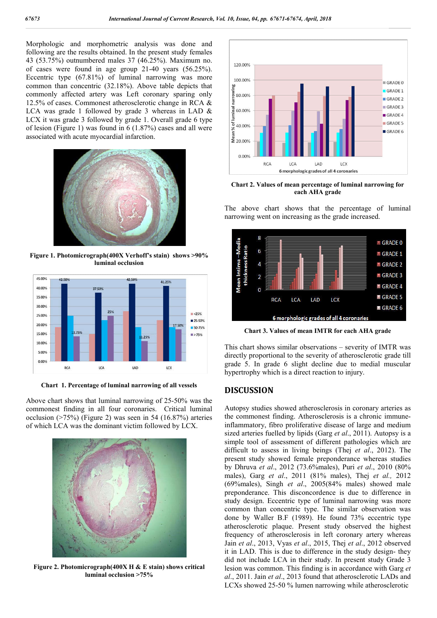Morphologic and morphometric analysis was done and following are the results obtained. In the present study females 43 (53.75%) outnumbered males 37 (46.25%). Maximum no. of cases were found in age group 21-40 years (56.25%). Eccentric type (67.81%) of luminal narrowing was more common than concentric (32.18%). Above table depicts that commonly affected artery was Left coronary sparing only 12.5% of cases. Commonest atherosclerotic change in RCA & LCA was grade 1 followed by grade 3 whereas in LAD  $\&$ LCX it was grade 3 followed by grade 1. Overall grade 6 type of lesion (Figure 1) was found in 6 (1.87%) cases and all were associated with acute myocardial infarction.



**Figure 1. Photomicrograph(400X Verhoff's stain) shows >90% luminal occlusion**



**Chart 1. Percentage of luminal narrowing of all vessels**

Above chart shows that luminal narrowing of 25-50% was the commonest finding in all four coronaries. Critical luminal occlusion (>75%) (Figure 2) was seen in 54 (16.87%) arteries of which LCA was the dominant victim followed by LCX.



**Figure 2. Photomicrograph(400X H & E stain) shows critical luminal occlusion >75%**



**Chart 2. Values of mean percentage of luminal narrowing for each AHA grade**

The above chart shows that the percentage of luminal narrowing went on increasing as the grade increased.



**Chart 3. Values of mean IMTR for each AHA grade**

This chart shows similar observations – severity of IMTR was directly proportional to the severity of atherosclerotic grade till grade 5. In grade 6 slight decline due to medial muscular hypertrophy which is a direct reaction to injury.

# **DISCUSSION**

Autopsy studies showed atherosclerosis in coronary arteries as the commonest finding. Atherosclerosis is a chronic immuneinflammatory, fibro proliferative disease of large and medium sized arteries fuelled by lipids (Garg *et al*., 2011). Autopsy is a simple tool of assessment of different pathologies which are difficult to assess in living beings (Thej *et al*., 2012). The present study showed female preponderance whereas studies by Dhruva *et al*., 2012 (73.6%males), Puri *et al*., 2010 (80% males), Garg *et al*., 2011 (81% males), Thej *et al.,* 2012 (69%males), Singh *et al*., 2005(84% males) showed male preponderance. This disconcordence is due to difference in study design. Eccentric type of luminal narrowing was more common than concentric type. The similar observation was done by Waller B.F (1989). He found 73% eccentric type atherosclerotic plaque. Present study observed the highest frequency of atherosclerosis in left coronary artery whereas Jain *et al*., 2013, Vyas *et al*., 2015, Thej *et al*., 2012 observed it in LAD. This is due to difference in the study design- they did not include LCA in their study. In present study Grade 3 lesion was common. This finding is in accordance with Garg *et al*., 2011. Jain *et al*., 2013 found that atherosclerotic LADs and LCXs showed 25-50 % lumen narrowing while atherosclerotic